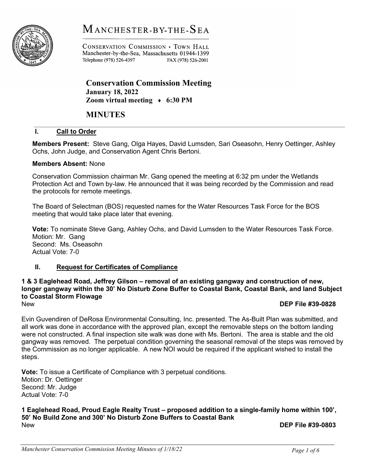# MANCHESTER-BY-THE-SEA



CONSERVATION COMMISSION . TOWN HALL Manchester-by-the-Sea, Massachusetts 01944-1399 Telephone (978) 526-4397 FAX (978) 526-2001

Conservation Commission Meeting January 18, 2022 Zoom virtual meeting  $\leftrightarrow$  6:30 PM

# MINUTES

# I. Call to Order

Members Present: Steve Gang, Olga Hayes, David Lumsden, Sari Oseasohn, Henry Oettinger, Ashley Ochs, John Judge, and Conservation Agent Chris Bertoni.

# Members Absent: None

Conservation Commission chairman Mr. Gang opened the meeting at 6:32 pm under the Wetlands Protection Act and Town by-law. He announced that it was being recorded by the Commission and read the protocols for remote meetings.

The Board of Selectman (BOS) requested names for the Water Resources Task Force for the BOS meeting that would take place later that evening.

Vote: To nominate Steve Gang, Ashley Ochs, and David Lumsden to the Water Resources Task Force. Motion: Mr. Gang Second: Ms. Oseasohn Actual Vote: 7-0

# II. Request for Certificates of Compliance

#### 1 & 3 Eaglehead Road, Jeffrey Gilson – removal of an existing gangway and construction of new, longer gangway within the 30' No Disturb Zone Buffer to Coastal Bank, Coastal Bank, and land Subject to Coastal Storm Flowage New **DEP File #39-0828**

Evin Guvendiren of DeRosa Environmental Consulting, Inc. presented. The As-Built Plan was submitted, and all work was done in accordance with the approved plan, except the removable steps on the bottom landing were not constructed. A final inspection site walk was done with Ms. Bertoni. The area is stable and the old gangway was removed. The perpetual condition governing the seasonal removal of the steps was removed by the Commission as no longer applicable. A new NOI would be required if the applicant wished to install the steps.

Vote: To issue a Certificate of Compliance with 3 perpetual conditions. Motion: Dr. Oettinger Second: Mr. Judge Actual Vote: 7-0

#### 1 Eaglehead Road, Proud Eagle Realty Trust – proposed addition to a single-family home within 100', 50' No Build Zone and 300' No Disturb Zone Buffers to Coastal Bank New **DEP File #39-0803**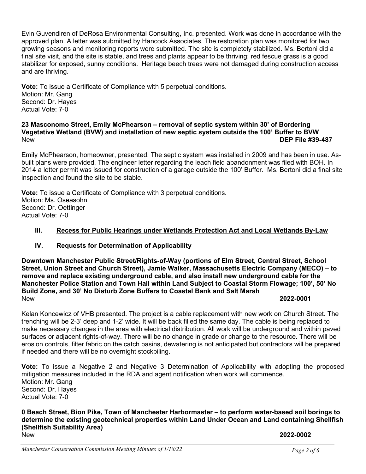Evin Guvendiren of DeRosa Environmental Consulting, Inc. presented. Work was done in accordance with the approved plan. A letter was submitted by Hancock Associates. The restoration plan was monitored for two growing seasons and monitoring reports were submitted. The site is completely stabilized. Ms. Bertoni did a final site visit, and the site is stable, and trees and plants appear to be thriving; red fescue grass is a good stabilizer for exposed, sunny conditions. Heritage beech trees were not damaged during construction access and are thriving.

Vote: To issue a Certificate of Compliance with 5 perpetual conditions. Motion: Mr. Gang Second: Dr. Hayes Actual Vote: 7-0

# 23 Masconomo Street, Emily McPhearson – removal of septic system within 30' of Bordering Vegetative Wetland (BVW) and installation of new septic system outside the 100' Buffer to BVW New **DEP File #39-487**

Emily McPhearson, homeowner, presented. The septic system was installed in 2009 and has been in use. Asbuilt plans were provided. The engineer letter regarding the leach field abandonment was filed with BOH. In 2014 a letter permit was issued for construction of a garage outside the 100' Buffer. Ms. Bertoni did a final site inspection and found the site to be stable.

Vote: To issue a Certificate of Compliance with 3 perpetual conditions. Motion: Ms. Oseasohn Second: Dr. Oettinger Actual Vote: 7-0

# III. Recess for Public Hearings under Wetlands Protection Act and Local Wetlands By-Law

# IV. Requests for Determination of Applicability

Downtown Manchester Public Street/Rights-of-Way (portions of Elm Street, Central Street, School Street, Union Street and Church Street), Jamie Walker, Massachusetts Electric Company (MECO) – to remove and replace existing underground cable, and also install new underground cable for the Manchester Police Station and Town Hall within Land Subject to Coastal Storm Flowage; 100', 50' No Build Zone, and 30' No Disturb Zone Buffers to Coastal Bank and Salt Marsh New 2022-0001

Kelan Koncewicz of VHB presented. The project is a cable replacement with new work on Church Street. The trenching will be 2-3' deep and 1-2' wide. It will be back filled the same day. The cable is being replaced to make necessary changes in the area with electrical distribution. All work will be underground and within paved surfaces or adjacent rights-of-way. There will be no change in grade or change to the resource. There will be erosion controls, filter fabric on the catch basins, dewatering is not anticipated but contractors will be prepared if needed and there will be no overnight stockpiling.

**Vote:** To issue a Negative 2 and Negative 3 Determination of Applicability with adopting the proposed mitigation measures included in the RDA and agent notification when work will commence. Motion: Mr. Gang Second: Dr. Hayes Actual Vote: 7-0

# 0 Beach Street, Bion Pike, Town of Manchester Harbormaster – to perform water-based soil borings to determine the existing geotechnical properties within Land Under Ocean and Land containing Shellfish (Shellfish Suitability Area) New 2022-0002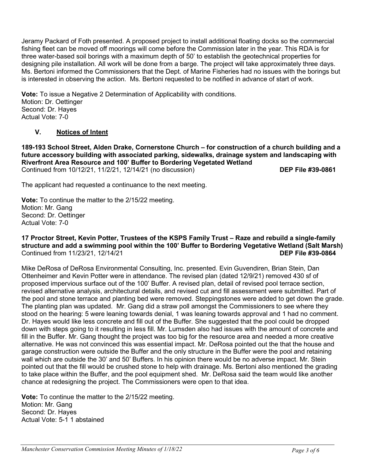Jeramy Packard of Foth presented. A proposed project to install additional floating docks so the commercial fishing fleet can be moved off moorings will come before the Commission later in the year. This RDA is for three water-based soil borings with a maximum depth of 50' to establish the geotechnical properties for designing pile installation. All work will be done from a barge. The project will take approximately three days. Ms. Bertoni informed the Commissioners that the Dept. of Marine Fisheries had no issues with the borings but is interested in observing the action. Ms. Bertoni requested to be notified in advance of start of work.

Vote: To issue a Negative 2 Determination of Applicability with conditions. Motion: Dr. Oettinger Second: Dr. Hayes Actual Vote: 7-0

# V. Notices of Intent

189-193 School Street, Alden Drake, Cornerstone Church – for construction of a church building and a future accessory building with associated parking, sidewalks, drainage system and landscaping with Riverfront Area Resource and 100' Buffer to Bordering Vegetated Wetland Continued from 10/12/21, 11/2/21, 12/14/21 (no discussion) DEP File #39-0861

The applicant had requested a continuance to the next meeting.

Vote: To continue the matter to the 2/15/22 meeting. Motion: Mr. Gang Second: Dr. Oettinger Actual Vote: 7-0

# 17 Proctor Street, Kevin Potter, Trustees of the KSPS Family Trust – Raze and rebuild a single-family structure and add a swimming pool within the 100' Buffer to Bordering Vegetative Wetland (Salt Marsh) Continued from 11/23/21, 12/14/21 DEP File #39-0864

Mike DeRosa of DeRosa Environmental Consulting, Inc. presented. Evin Guvendiren, Brian Stein, Dan Ottenheimer and Kevin Potter were in attendance. The revised plan (dated 12/9/21) removed 430 sf of proposed impervious surface out of the 100' Buffer. A revised plan, detail of revised pool terrace section, revised alternative analysis, architectural details, and revised cut and fill assessment were submitted. Part of the pool and stone terrace and planting bed were removed. Steppingstones were added to get down the grade. The planting plan was updated. Mr. Gang did a straw poll amongst the Commissioners to see where they stood on the hearing: 5 were leaning towards denial, 1 was leaning towards approval and 1 had no comment. Dr. Hayes would like less concrete and fill out of the Buffer. She suggested that the pool could be dropped down with steps going to it resulting in less fill. Mr. Lumsden also had issues with the amount of concrete and fill in the Buffer. Mr. Gang thought the project was too big for the resource area and needed a more creative alternative. He was not convinced this was essential impact. Mr. DeRosa pointed out the that the house and garage construction were outside the Buffer and the only structure in the Buffer were the pool and retaining wall which are outside the 30' and 50' Buffers. In his opinion there would be no adverse impact. Mr. Stein pointed out that the fill would be crushed stone to help with drainage. Ms. Bertoni also mentioned the grading to take place within the Buffer, and the pool equipment shed. Mr. DeRosa said the team would like another chance at redesigning the project. The Commissioners were open to that idea.

Vote: To continue the matter to the 2/15/22 meeting. Motion: Mr. Gang Second: Dr. Hayes Actual Vote: 5-1 1 abstained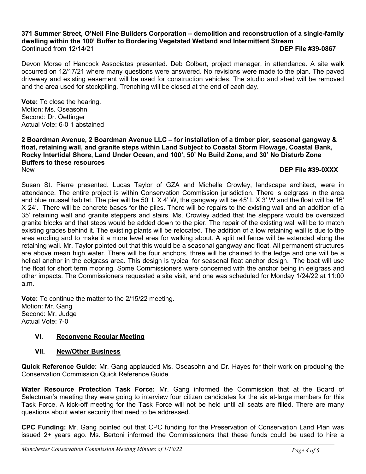# 371 Summer Street, O'Neil Fine Builders Corporation – demolition and reconstruction of a single-family dwelling within the 100' Buffer to Bordering Vegetated Wetland and Intermittent Stream Continued from 12/14/21 DEP File #39-0867

Devon Morse of Hancock Associates presented. Deb Colbert, project manager, in attendance. A site walk occurred on 12/17/21 where many questions were answered. No revisions were made to the plan. The paved driveway and existing easement will be used for construction vehicles. The studio and shed will be removed and the area used for stockpiling. Trenching will be closed at the end of each day.

Vote: To close the hearing. Motion: Ms. Oseasohn Second: Dr. Oettinger Actual Vote: 6-0 1 abstained

2 Boardman Avenue, 2 Boardman Avenue LLC – for installation of a timber pier, seasonal gangway & float, retaining wall, and granite steps within Land Subject to Coastal Storm Flowage, Coastal Bank, Rocky Intertidal Shore, Land Under Ocean, and 100', 50' No Build Zone, and 30' No Disturb Zone Buffers to these resources New DEP File #39-0XXX

Susan St. Pierre presented. Lucas Taylor of GZA and Michelle Crowley, landscape architect, were in attendance. The entire project is within Conservation Commission jurisdiction. There is eelgrass in the area and blue mussel habitat. The pier will be 50' L X 4' W, the gangway will be 45' L X 3' W and the float will be 16' X 24'. There will be concrete bases for the piles. There will be repairs to the existing wall and an addition of a 35' retaining wall and granite steppers and stairs. Ms. Crowley added that the steppers would be oversized granite blocks and that steps would be added down to the pier. The repair of the existing wall will be to match existing grades behind it. The existing plants will be relocated. The addition of a low retaining wall is due to the area eroding and to make it a more level area for walking about. A split rail fence will be extended along the retaining wall. Mr. Taylor pointed out that this would be a seasonal gangway and float. All permanent structures are above mean high water. There will be four anchors, three will be chained to the ledge and one will be a helical anchor in the eelgrass area. This design is typical for seasonal float anchor design. The boat will use the float for short term mooring. Some Commissioners were concerned with the anchor being in eelgrass and other impacts. The Commissioners requested a site visit, and one was scheduled for Monday 1/24/22 at 11:00 a.m.

Vote: To continue the matter to the 2/15/22 meeting. Motion: Mr. Gang Second: Mr. Judge Actual Vote: 7-0

# VI. Reconvene Regular Meeting

# VII. New/Other Business

Quick Reference Guide: Mr. Gang applauded Ms. Oseasohn and Dr. Hayes for their work on producing the Conservation Commission Quick Reference Guide.

Water Resource Protection Task Force: Mr. Gang informed the Commission that at the Board of Selectman's meeting they were going to interview four citizen candidates for the six at-large members for this Task Force. A kick-off meeting for the Task Force will not be held until all seats are filled. There are many questions about water security that need to be addressed.

CPC Funding: Mr. Gang pointed out that CPC funding for the Preservation of Conservation Land Plan was issued 2+ years ago. Ms. Bertoni informed the Commissioners that these funds could be used to hire a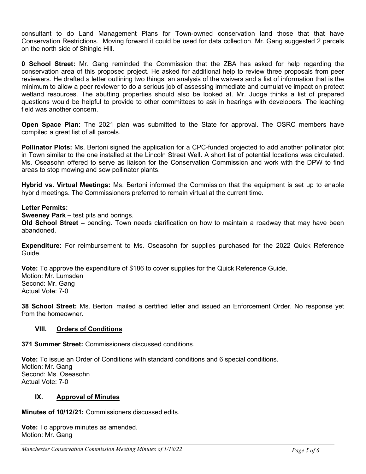consultant to do Land Management Plans for Town-owned conservation land those that that have Conservation Restrictions. Moving forward it could be used for data collection. Mr. Gang suggested 2 parcels on the north side of Shingle Hill.

0 School Street: Mr. Gang reminded the Commission that the ZBA has asked for help regarding the conservation area of this proposed project. He asked for additional help to review three proposals from peer reviewers. He drafted a letter outlining two things: an analysis of the waivers and a list of information that is the minimum to allow a peer reviewer to do a serious job of assessing immediate and cumulative impact on protect wetland resources. The abutting properties should also be looked at. Mr. Judge thinks a list of prepared questions would be helpful to provide to other committees to ask in hearings with developers. The leaching field was another concern.

Open Space Plan: The 2021 plan was submitted to the State for approval. The OSRC members have compiled a great list of all parcels.

**Pollinator Plots:** Ms. Bertoni signed the application for a CPC-funded projected to add another pollinator plot in Town similar to the one installed at the Lincoln Street Well. A short list of potential locations was circulated. Ms. Oseasohn offered to serve as liaison for the Conservation Commission and work with the DPW to find areas to stop mowing and sow pollinator plants.

Hybrid vs. Virtual Meetings: Ms. Bertoni informed the Commission that the equipment is set up to enable hybrid meetings. The Commissioners preferred to remain virtual at the current time.

# Letter Permits:

Sweeney Park – test pits and borings.

Old School Street – pending. Town needs clarification on how to maintain a roadway that may have been abandoned.

Expenditure: For reimbursement to Ms. Oseasohn for supplies purchased for the 2022 Quick Reference Guide.

Vote: To approve the expenditure of \$186 to cover supplies for the Quick Reference Guide. Motion: Mr. Lumsden Second: Mr. Gang Actual Vote: 7-0

38 School Street: Ms. Bertoni mailed a certified letter and issued an Enforcement Order. No response yet from the homeowner.

# VIII. Orders of Conditions

371 Summer Street: Commissioners discussed conditions.

Vote: To issue an Order of Conditions with standard conditions and 6 special conditions. Motion: Mr. Gang Second: Ms. Oseasohn Actual Vote: 7-0

# IX. Approval of Minutes

Minutes of 10/12/21: Commissioners discussed edits.

Vote: To approve minutes as amended. Motion: Mr. Gang